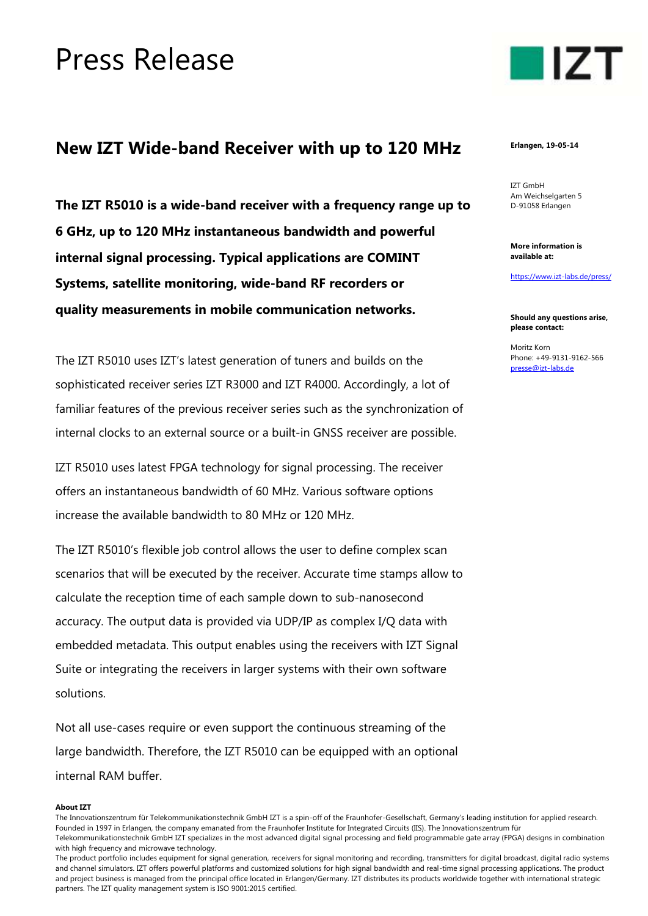## Press Release

## **New IZT Wide-band Receiver with up to 120 MHz**

**The IZT R5010 is a wide-band receiver with a frequency range up to 6 GHz, up to 120 MHz instantaneous bandwidth and powerful internal signal processing. Typical applications are COMINT Systems, satellite monitoring, wide-band RF recorders or quality measurements in mobile communication networks.**

The IZT R5010 uses IZT's latest generation of tuners and builds on the sophisticated receiver series IZT R3000 and IZT R4000. Accordingly, a lot of familiar features of the previous receiver series such as the synchronization of internal clocks to an external source or a built-in GNSS receiver are possible.

IZT R5010 uses latest FPGA technology for signal processing. The receiver offers an instantaneous bandwidth of 60 MHz. Various software options increase the available bandwidth to 80 MHz or 120 MHz.

The IZT R5010's flexible job control allows the user to define complex scan scenarios that will be executed by the receiver. Accurate time stamps allow to calculate the reception time of each sample down to sub-nanosecond accuracy. The output data is provided via UDP/IP as complex I/Q data with embedded metadata. This output enables using the receivers with IZT Signal Suite or integrating the receivers in larger systems with their own software solutions.

Not all use-cases require or even support the continuous streaming of the large bandwidth. Therefore, the IZT R5010 can be equipped with an optional internal RAM buffer.

## **About IZT**

The Innovationszentrum für Telekommunikationstechnik GmbH IZT is a spin-off of the Fraunhofer-Gesellschaft, Germany's leading institution for applied research. Founded in 1997 in Erlangen, the company emanated from the Fraunhofer Institute for Integrated Circuits (IIS). The Innovationszentrum für

The product portfolio includes equipment for signal generation, receivers for signal monitoring and recording, transmitters for digital broadcast, digital radio systems and channel simulators. IZT offers powerful platforms and customized solutions for high signal bandwidth and real-time signal processing applications. The product and project business is managed from the principal office located in Erlangen/Germany. IZT distributes its products worldwide together with international strategic partners. The IZT quality management system is ISO 9001:2015 certified.



**Erlangen, 19-05-14**

IZT GmbH Am Weichselgarten 5 D-91058 Erlangen

**More information is available at:**

<https://www.izt-labs.de/press/>

**Should any questions arise, please contact:**

Moritz Korn Phone: +49-9131-9162-566 [presse@izt-labs.de](mailto:presse@izt-labs.de)

Telekommunikationstechnik GmbH IZT specializes in the most advanced digital signal processing and field programmable gate array (FPGA) designs in combination with high frequency and microwave technology.